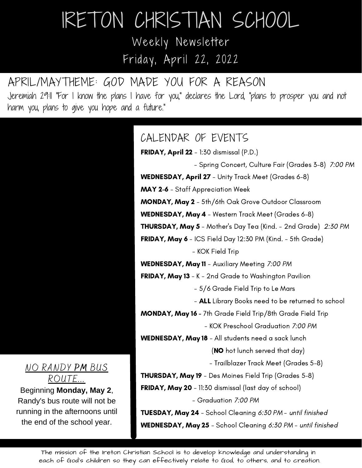# IRETON CHRISTIAN SCHOOL Weekly Newsletter

Friday, April 22, 2022

## APRIL/MAYTHEME: GOD MADE YOU FOR A REASON

Jeremiah 29:11 "For I know the plans I have for you," declares the Lord, "plans to prosper you and not harm you, plans to give you hope and a future."

> FRIDAY, April 22 - 1:30 dismissal (P.D.) - Spring Concert, Culture Fair (Grades 3-8) 7:00 PM WEDNESDAY, April 27 - Unity Track Meet (Grades 6-8) MAY 2-6 - Staff Appreciation Week MONDAY, May 2 - 5th/6th Oak Grove Outdoor Classroom WEDNESDAY, May 4 - Western Track Meet (Grades 6-8) THURSDAY, May 5 - Mother's Day Tea (Kind. - 2nd Grade) 2:30 PM FRIDAY, May 6 - ICS Field Day 12:30 PM (Kind. - 5th Grade) - KOK Field Trip WEDNESDAY, May 11 - Auxiliary Meeting 7:00 PM FRIDAY, May 13 - K - 2nd Grade to Washington Pavilion - 5/6 Grade Field Trip to Le Mars - **ALL** Library Books need to be returned to school MONDAY, May 16 - 7th Grade Field Trip/8th Grade Field Trip - KOK Preschool Graduation 7:00 PM WEDNESDAY, May 18 - All students need a sack lunch (NO hot lunch served that day) - Trailblazer Track Meet (Grades 5-8) THURSDAY, May 19 - Des Moines Field Trip (Grades 5-8) **FRIDAY, May 20** - 11:30 dismissal (last day of school) - Graduation 7:00 PM TUESDAY, May 24 - School Cleaning 6:30 PM - until finished WEDNESDAY, May 25 - School Cleaning 6:30 PM - until finished CALENDAR OF EVENTS

#### NO RANDY **PM** BUS ROUTE...

Beginning **Monday, May 2**, Randy's bus route will not be running in the afternoons until the end of the school year.